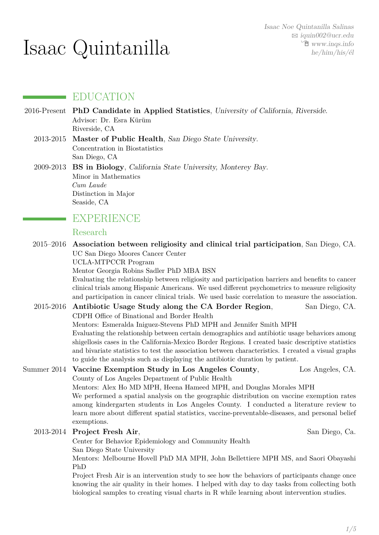# Isaac Quintanilla

## EDUCATION

- 2016-Present **PhD Candidate in Applied Statistics**, University of California, Riverside. Advisor: Dr. Esra Kürüm Riverside, CA
	- 2013-2015 **Master of Public Health**, San Diego State University. Concentration in Biostatistics San Diego, CA

2009-2013 **BS in Biology**, California State University, Monterey Bay. Minor in Mathematics *Cum Laude* Distinction in Major Seaside, CA

### **EXPERIENCE**

#### Research

2015–2016 **Association between religiosity and clinical trial participation**, San Diego, CA. UC San Diego Moores Cancer Center

UCLA-MTPCCR Program

Mentor Georgia Robins Sadler PhD MBA BSN

Evaluating the relationship between religiosity and participation barriers and benefits to cancer clinical trials among Hispanic Americans. We used different psychometrics to measure religiosity and participation in cancer clinical trials. We used basic correlation to measure the association.

#### 2015-2016 **Antibiotic Usage Study along the CA Border Region**, San Diego, CA. CDPH Office of Binational and Border Health Mentors: Esmeralda Iniguez-Stevens PhD MPH and Jennifer Smith MPH Evaluating the relationship between certain demographics and antibiotic usage behaviors among shigellosis cases in the California-Mexico Border Regions. I created basic descriptive statistics and bivariate statistics to test the association between characteristics. I created a visual graphs to guide the analysis such as displaying the antibiotic duration by patient.

#### Summer 2014 **Vaccine Exemption Study in Los Angeles County**, Los Angeles, CA. County of Los Angeles Department of Public Health

Mentors: Alex Ho MD MPH, Heena Hameed MPH, and Douglas Morales MPH

We performed a spatial analysis on the geographic distribution on vaccine exemption rates among kindergarten students in Los Angeles County. I conducted a literature review to learn more about different spatial statistics, vaccine-preventable-diseases, and personal belief exemptions.

#### 2013-2014 **Project Fresh Air**, San Diego, Ca.

Center for Behavior Epidemiology and Community Health San Diego State University

Mentors: Melbourne Hovell PhD MA MPH, John Bellettiere MPH MS, and Saori Obayashi PhD

Project Fresh Air is an intervention study to see how the behaviors of participants change once knowing the air quality in their homes. I helped with day to day tasks from collecting both biological samples to creating visual charts in R while learning about intervention studies.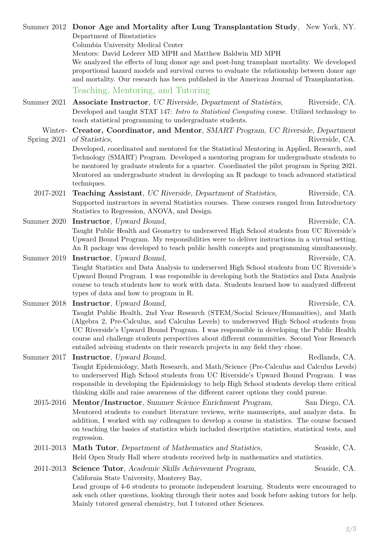*2[/5](#page-4-0)*

- Summer 2017 **Instructor**, Upward Bound, Redlands, CA. Taught Epidemiology, Math Research, and Math/Science (Pre-Calculus and Calculus Levels) to underserved High School students from UC Riverside's Upward Bound Program. I was responsible in developing the Epidemiology to help High School students develop there critical thinking skills and raise awareness of the different career options they could pursue. 2015-2016 **Mentor/Instructor**, Summer Science Enrichment Program, San Diego, CA. Mentored students to conduct literature reviews, write manuscripts, and analyze data. In addition, I worked with my colleagues to develop a course in statistics. The course focused on teaching the basics of statistics which included descriptive statistics, statistical tests, and regression. 2011-2013 Math Tutor, Department of Mathematics and Statistics, Seaside, CA. Held Open Study Hall where students received help in mathematics and statistics. 2011-2013 **Science Tutor**, Academic Skills Achievement Program, Seaside, CA. California State University, Monterey Bay, Lead groups of 4-6 students to promote independent learning. Students were encouraged to ask each other questions, looking through their notes and book before asking tutors for help. Mainly tutored general chemistry, but I tutored other Sciences.
- Summer 2019 **Instructor**, Upward Bound, The Contract of the Riverside, CA. Taught Statistics and Data Analysis to underserved High School students from UC Riverside's Upward Bound Program. I was responsible in developing both the Statistics and Data Analysis course to teach students how to work with data. Students learned how to analyzed different types of data and how to program in R. Summer 2018 **Instructor**, Upward Bound, Riverside, CA.
- Summer 2020 **Instructor**, Upward Bound, The Contract of the Riverside, CA. Taught Public Health and Geometry to underserved High School students from UC Riverside's Upward Bound Program. My responsibilities were to deliver instructions in a virtual setting. An R package was developed to teach public health concepts and programming simultaneously.
- Spring 2021 of Statistics, Riverside, CA. Developed, coordinated and mentored for the Statistical Mentoring in Applied, Research, and Technology (SMART) Program. Developed a mentoring program for undergraduate students to be mentored by graduate students for a quarter. Coordinated the pilot program in Spring 2021. Mentored an undergraduate student in developing an R package to teach advanced statistical techniques.
- Summer 2021 **Associate Instructor**, UC Riverside, Department of Statistics, Riverside, CA. Developed and taught STAT 147: *Intro to Statistical Computing* course. Utilized technology to teach statistical programming to undergraduate students.

Summer 2012 **Donor Age and Mortality after Lung Transplantation Study**, New York, NY.

Mentors: David Lederer MD MPH and Matthew Baldwin MD MPH

Winter-**Creator, Coordinator, and Mentor**, SMART Program, UC Riverside, Department

course and challenge students perspectives about different communities. Second Year Research

We analyzed the effects of lung donor age and post-lung transplant mortality. We developed proportional hazard models and survival curves to evaluate the relationship between donor age and mortality. Our research has been published in the American Journal of Transplantation.

Supported instructors in several Statistics courses. These courses ranged from Introductory

# 2017-2021 **Teaching Assistant**, UC Riverside, Department of Statistics, Riverside, CA.

Taught Public Health, 2nd Year Research (STEM/Social Science/Humanities), and Math (Algebra 2, Pre-Calculus, and Calculus Levels) to underserved High School students from

# UC Riverside's Upward Bound Program. I was responsible in developing the Public Health

Department of Biostatistics

Columbia University Medical Center

Teaching, Mentoring, and Tutoring

Statistics to Regression, ANOVA, and Design.

entailed advising students on their research projects in any field they chose.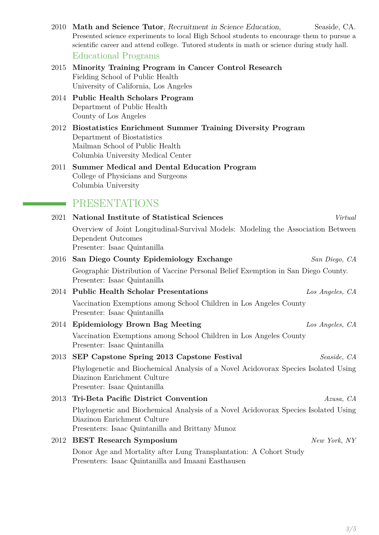| 2010 Math and Science Tutor, Recruitment in Science Education,                               | Seaside, CA. |
|----------------------------------------------------------------------------------------------|--------------|
| Presented science experiments to local High School students to encourage them to pursue a    |              |
| scientific career and attend college. Tutored students in math or science during study hall. |              |
| Educational Programs                                                                         |              |

2015 **Minority Training Program in Cancer Control Research** Fielding School of Public Health University of California, Los Angeles

- 2014 **Public Health Scholars Program** Department of Public Health County of Los Angeles
- 2012 **Biostatistics Enrichment Summer Training Diversity Program** Department of Biostatistics Mailman School of Public Health Columbia University Medical Center

#### 2011 **Summer Medical and Dental Education Program** College of Physicians and Surgeons Columbia University

# **PRESENTATIONS**

| 2021 | National Institute of Statistical Sciences                                                                                                                            | Virtual         |
|------|-----------------------------------------------------------------------------------------------------------------------------------------------------------------------|-----------------|
|      | Overview of Joint Longitudinal-Survival Models: Modeling the Association Between<br>Dependent Outcomes<br>Presenter: Isaac Quintanilla                                |                 |
| 2016 | San Diego County Epidemiology Exchange                                                                                                                                | San Diego, CA   |
|      | Geographic Distribution of Vaccine Personal Belief Exemption in San Diego County.<br>Presenter: Isaac Quintanilla                                                     |                 |
|      | 2014 Public Health Scholar Presentations                                                                                                                              | Los Angeles, CA |
|      | Vaccination Exemptions among School Children in Los Angeles County<br>Presenter: Isaac Quintanilla                                                                    |                 |
| 2014 | <b>Epidemiology Brown Bag Meeting</b>                                                                                                                                 | Los Angeles, CA |
|      | Vaccination Exemptions among School Children in Los Angeles County<br>Presenter: Isaac Quintanilla                                                                    |                 |
| 2013 | SEP Capstone Spring 2013 Capstone Festival                                                                                                                            | Seaside, CA     |
|      | Phylogenetic and Biochemical Analysis of a Novel Acidovorax Species Isolated Using<br>Diazinon Enrichment Culture<br>Presenter: Isaac Quintanilla                     |                 |
| 2013 | Tri-Beta Pacific District Convention                                                                                                                                  | Azusa, CA       |
|      | Phylogenetic and Biochemical Analysis of a Novel Acidovorax Species Isolated Using<br>Diazinon Enrichment Culture<br>Presenters: Isaac Quintanilla and Brittany Munoz |                 |
|      | 2012 BEST Research Symposium                                                                                                                                          | New York, NY    |
|      | Donor Age and Mortality after Lung Transplantation: A Cohort Study<br>Presenters: Isaac Quintanilla and Imaani Easthausen                                             |                 |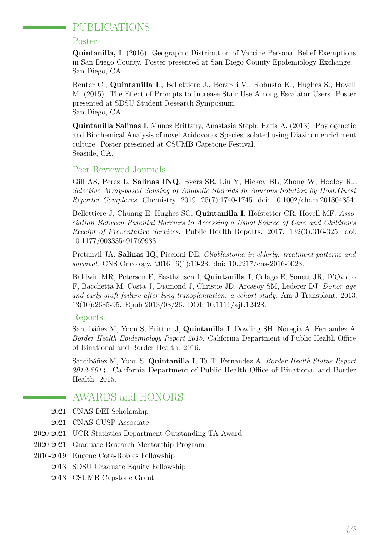# PUBLICATIONS

#### Poster

**Quintanilla, I**. (2016). Geographic Distribution of Vaccine Personal Belief Exemptions in San Diego County. Poster presented at San Diego County Epidemiology Exchange. San Diego, CA

Reuter C., **Quintanilla I**., Bellettiere J., Berardi V., Robusto K., Hughes S., Hovell M. (2015). The Effect of Prompts to Increase Stair Use Among Escalator Users. Poster presented at SDSU Student Research Symposium. San Diego, CA.

**Quintanilla Salinas I**, Munoz Brittany, Anastasia Steph, Haffa A. (2013). Phylogenetic and Biochemical Analysis of novel Acidovorax Species isolated using Diazinon enrichment culture. Poster presented at CSUMB Capstone Festival. Seaside, CA.

#### Peer-Reviewed Journals

Gill AS, Perez L, **Salinas INQ**, Byers SR, Liu Y, Hickey BL, Zhong W, Hooley RJ. *Selective Array-based Sensing of Anabolic Steroids in Aqueous Solution by Host:Guest Reporter Complexes.* Chemistry. 2019. 25(7):1740-1745. doi: 10.1002/chem.201804854

Bellettiere J, Chuang E, Hughes SC, **Quintanilla I**, Hofstetter CR, Hovell MF. *Association Between Parental Barriers to Accessing a Usual Source of Care and Children's Receipt of Preventative Services*. Public Health Reports. 2017. 132(3):316-325. doi: 10.1177/0033354917699831

Pretanvil JA, **Salinas IQ**, Piccioni DE. *Glioblastoma in elderly: treatment patterns and survival*. CNS Oncology. 2016. 6(1):19-28. doi: 10.2217/cns-2016-0023.

Baldwin MR, Peterson E, Easthausen I, **Quintanilla I**, Colago E, Sonett JR, D'Ovidio F, Bacchetta M, Costa J, Diamond J, Christie JD, Arcasoy SM, Lederer DJ. *Donor age and early graft failure after lung transplantation: a cohort study*. Am J Transplant. 2013. 13(10):2685-95. Epub 2013/08/26. DOI: 10.1111/ajt.12428.

#### Reports

Santibáñez M, Yoon S, Britton J, **Quintanilla I**, Dowling SH, Noregia A, Fernandez A. *Border Health Epidemiology Report 2015*. California Department of Public Health Office of Binational and Border Health. 2016.

Santibáñez M, Yoon S, **Quintanilla I**, Ta T, Fernandez A. *Border Health Status Report 2012-2014*. California Department of Public Health Office of Binational and Border Health. 2015.

# AWARDS and HONORS

- 2021 CNAS DEI Scholarship
- 2021 CNAS CUSP Associate
- 2020-2021 UCR Statistics Department Outstanding TA Award
- 2020-2021 Graduate Research Mentorship Program
- 2016-2019 Eugene Cota-Robles Fellowship
	- 2013 SDSU Graduate Equity Fellowship
	- 2013 CSUMB Capstone Grant